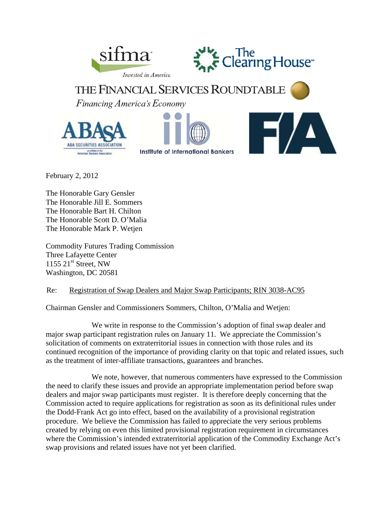



**THE FINANCIAL SERVICES ROUNDTABLE** Financing America's Economy







February 2, 2012

The Honorable Gary Gensler The Honorable Jill E. Sommers The Honorable Bart H. Chilton The Honorable Scott D. O'Malia The Honorable Mark P. Wetjen

Commodity Futures Trading Commission Three Lafayette Center 1155  $21^{st}$  Street, NW Washington, DC 20581

# Re: Registration of Swap Dealers and Major Swap Participants; RIN 3038-AC95

Chairman Gensler and Commissioners Sommers, Chilton, O'Malia and Wetjen:

 We write in response to the Commission's adoption of final swap dealer and major swap participant registration rules on January 11. We appreciate the Commission's solicitation of comments on extraterritorial issues in connection with those rules and its continued recognition of the importance of providing clarity on that topic and related issues, such as the treatment of inter-affiliate transactions, guarantees and branches.

 We note, however, that numerous commenters have expressed to the Commission the need to clarify these issues and provide an appropriate implementation period before swap dealers and major swap participants must register. It is therefore deeply concerning that the Commission acted to require applications for registration as soon as its definitional rules under the Dodd-Frank Act go into effect, based on the availability of a provisional registration procedure. We believe the Commission has failed to appreciate the very serious problems created by relying on even this limited provisional registration requirement in circumstances where the Commission's intended extraterritorial application of the Commodity Exchange Act's swap provisions and related issues have not yet been clarified.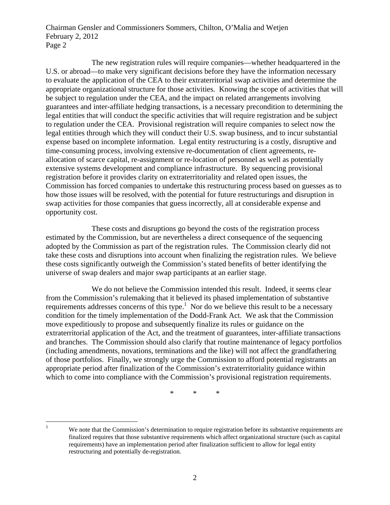The new registration rules will require companies—whether headquartered in the U.S. or abroad—to make very significant decisions before they have the information necessary to evaluate the application of the CEA to their extraterritorial swap activities and determine the appropriate organizational structure for those activities. Knowing the scope of activities that will be subject to regulation under the CEA, and the impact on related arrangements involving guarantees and inter-affiliate hedging transactions, is a necessary precondition to determining the legal entities that will conduct the specific activities that will require registration and be subject to regulation under the CEA. Provisional registration will require companies to select now the legal entities through which they will conduct their U.S. swap business, and to incur substantial expense based on incomplete information. Legal entity restructuring is a costly, disruptive and time-consuming process, involving extensive re-documentation of client agreements, reallocation of scarce capital, re-assignment or re-location of personnel as well as potentially extensive systems development and compliance infrastructure. By sequencing provisional registration before it provides clarity on extraterritoriality and related open issues, the Commission has forced companies to undertake this restructuring process based on guesses as to how those issues will be resolved, with the potential for future restructurings and disruption in swap activities for those companies that guess incorrectly, all at considerable expense and opportunity cost.

 These costs and disruptions go beyond the costs of the registration process estimated by the Commission, but are nevertheless a direct consequence of the sequencing adopted by the Commission as part of the registration rules. The Commission clearly did not take these costs and disruptions into account when finalizing the registration rules. We believe these costs significantly outweigh the Commission's stated benefits of better identifying the universe of swap dealers and major swap participants at an earlier stage.

 We do not believe the Commission intended this result. Indeed, it seems clear from the Commission's rulemaking that it believed its phased implementation of substantive requirements addresses concerns of this type.<sup>1</sup> Nor do we believe this result to be a necessary condition for the timely implementation of the Dodd-Frank Act. We ask that the Commission move expeditiously to propose and subsequently finalize its rules or guidance on the extraterritorial application of the Act, and the treatment of guarantees, inter-affiliate transactions and branches. The Commission should also clarify that routine maintenance of legacy portfolios (including amendments, novations, terminations and the like) will not affect the grandfathering of those portfolios. Finally, we strongly urge the Commission to afford potential registrants an appropriate period after finalization of the Commission's extraterritoriality guidance within which to come into compliance with the Commission's provisional registration requirements.

\* \* \*

 $\frac{1}{1}$ 

We note that the Commission's determination to require registration before its substantive requirements are finalized requires that those substantive requirements which affect organizational structure (such as capital requirements) have an implementation period after finalization sufficient to allow for legal entity restructuring and potentially de-registration.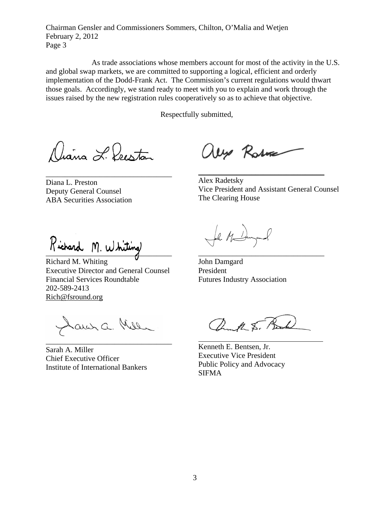As trade associations whose members account for most of the activity in the U.S. and global swap markets, we are committed to supporting a logical, efficient and orderly implementation of the Dodd-Frank Act. The Commission's current regulations would thwart those goals. Accordingly, we stand ready to meet with you to explain and work through the issues raised by the new registration rules cooperatively so as to achieve that objective.

Respectfully submitted,

Jiana L. Prestan

\_\_\_\_\_\_\_\_\_\_\_\_\_\_\_\_\_\_\_\_\_\_\_\_\_\_\_\_\_\_\_\_\_

Diana L. Preston Deputy General Counsel ABA Securities Association

aux Rose

Alex Radetsky Vice President and Assistant General Counsel The Clearing House

\_\_\_\_\_\_\_\_\_\_\_\_\_\_\_\_\_\_\_\_\_\_\_\_\_\_\_\_\_\_\_\_\_

\_\_\_\_\_\_\_\_\_\_\_\_\_\_\_\_\_\_\_\_\_\_\_\_\_\_\_\_\_\_\_\_\_

Richard M. Whiting

Richard M. Whiting Executive Director and General Counsel Financial Services Roundtable 202-589-2413 Rich@fsround.org

auna Melle  $\overline{\phantom{a}}$  , and the set of the set of the set of the set of the set of the set of the set of the set of the set of the set of the set of the set of the set of the set of the set of the set of the set of the set of the s

Sarah A. Miller Chief Executive Officer Institute of International Bankers

Leh  $M_{\leq}$ 

John Damgard President Futures Industry Association

ank S. B

Kenneth E. Bentsen, Jr. Executive Vice President Public Policy and Advocacy SIFMA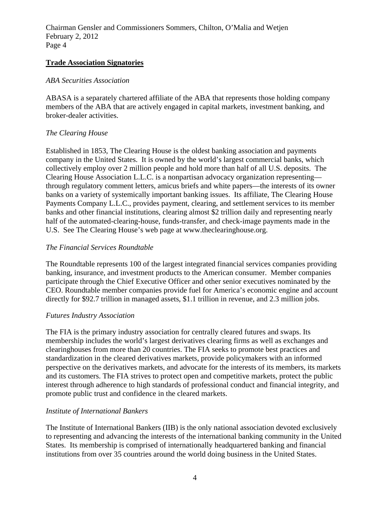#### **Trade Association Signatories**

#### *ABA Securities Association*

ABASA is a separately chartered affiliate of the ABA that represents those holding company members of the ABA that are actively engaged in capital markets, investment banking, and broker-dealer activities.

## *The Clearing House*

Established in 1853, The Clearing House is the oldest banking association and payments company in the United States. It is owned by the world's largest commercial banks, which collectively employ over 2 million people and hold more than half of all U.S. deposits. The Clearing House Association L.L.C. is a nonpartisan advocacy organization representing through regulatory comment letters, amicus briefs and white papers—the interests of its owner banks on a variety of systemically important banking issues. Its affiliate, The Clearing House Payments Company L.L.C., provides payment, clearing, and settlement services to its member banks and other financial institutions, clearing almost \$2 trillion daily and representing nearly half of the automated-clearing-house, funds-transfer, and check-image payments made in the U.S. See The Clearing House's web page at www.theclearinghouse.org.

## *The Financial Services Roundtable*

The Roundtable represents 100 of the largest integrated financial services companies providing banking, insurance, and investment products to the American consumer. Member companies participate through the Chief Executive Officer and other senior executives nominated by the CEO. Roundtable member companies provide fuel for America's economic engine and account directly for \$92.7 trillion in managed assets, \$1.1 trillion in revenue, and 2.3 million jobs.

## *Futures Industry Association*

The FIA is the primary industry association for centrally cleared futures and swaps. Its membership includes the world's largest derivatives clearing firms as well as exchanges and clearinghouses from more than 20 countries. The FIA seeks to promote best practices and standardization in the cleared derivatives markets, provide policymakers with an informed perspective on the derivatives markets, and advocate for the interests of its members, its markets and its customers. The FIA strives to protect open and competitive markets, protect the public interest through adherence to high standards of professional conduct and financial integrity, and promote public trust and confidence in the cleared markets.

## *Institute of International Bankers*

The Institute of International Bankers (IIB) is the only national association devoted exclusively to representing and advancing the interests of the international banking community in the United States. Its membership is comprised of internationally headquartered banking and financial institutions from over 35 countries around the world doing business in the United States.